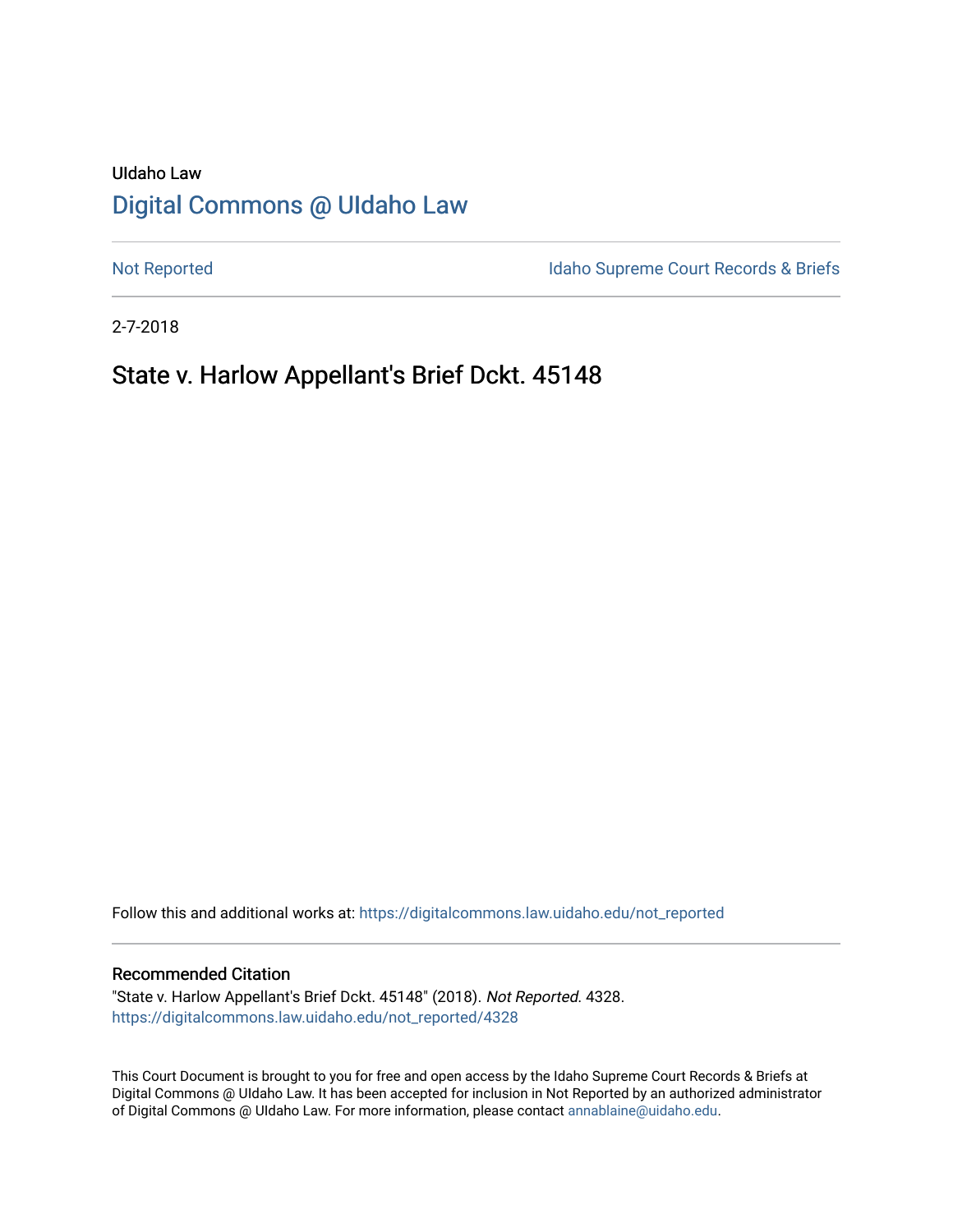# UIdaho Law [Digital Commons @ UIdaho Law](https://digitalcommons.law.uidaho.edu/)

[Not Reported](https://digitalcommons.law.uidaho.edu/not_reported) **Idaho Supreme Court Records & Briefs** 

2-7-2018

# State v. Harlow Appellant's Brief Dckt. 45148

Follow this and additional works at: [https://digitalcommons.law.uidaho.edu/not\\_reported](https://digitalcommons.law.uidaho.edu/not_reported?utm_source=digitalcommons.law.uidaho.edu%2Fnot_reported%2F4328&utm_medium=PDF&utm_campaign=PDFCoverPages) 

#### Recommended Citation

"State v. Harlow Appellant's Brief Dckt. 45148" (2018). Not Reported. 4328. [https://digitalcommons.law.uidaho.edu/not\\_reported/4328](https://digitalcommons.law.uidaho.edu/not_reported/4328?utm_source=digitalcommons.law.uidaho.edu%2Fnot_reported%2F4328&utm_medium=PDF&utm_campaign=PDFCoverPages)

This Court Document is brought to you for free and open access by the Idaho Supreme Court Records & Briefs at Digital Commons @ UIdaho Law. It has been accepted for inclusion in Not Reported by an authorized administrator of Digital Commons @ UIdaho Law. For more information, please contact [annablaine@uidaho.edu](mailto:annablaine@uidaho.edu).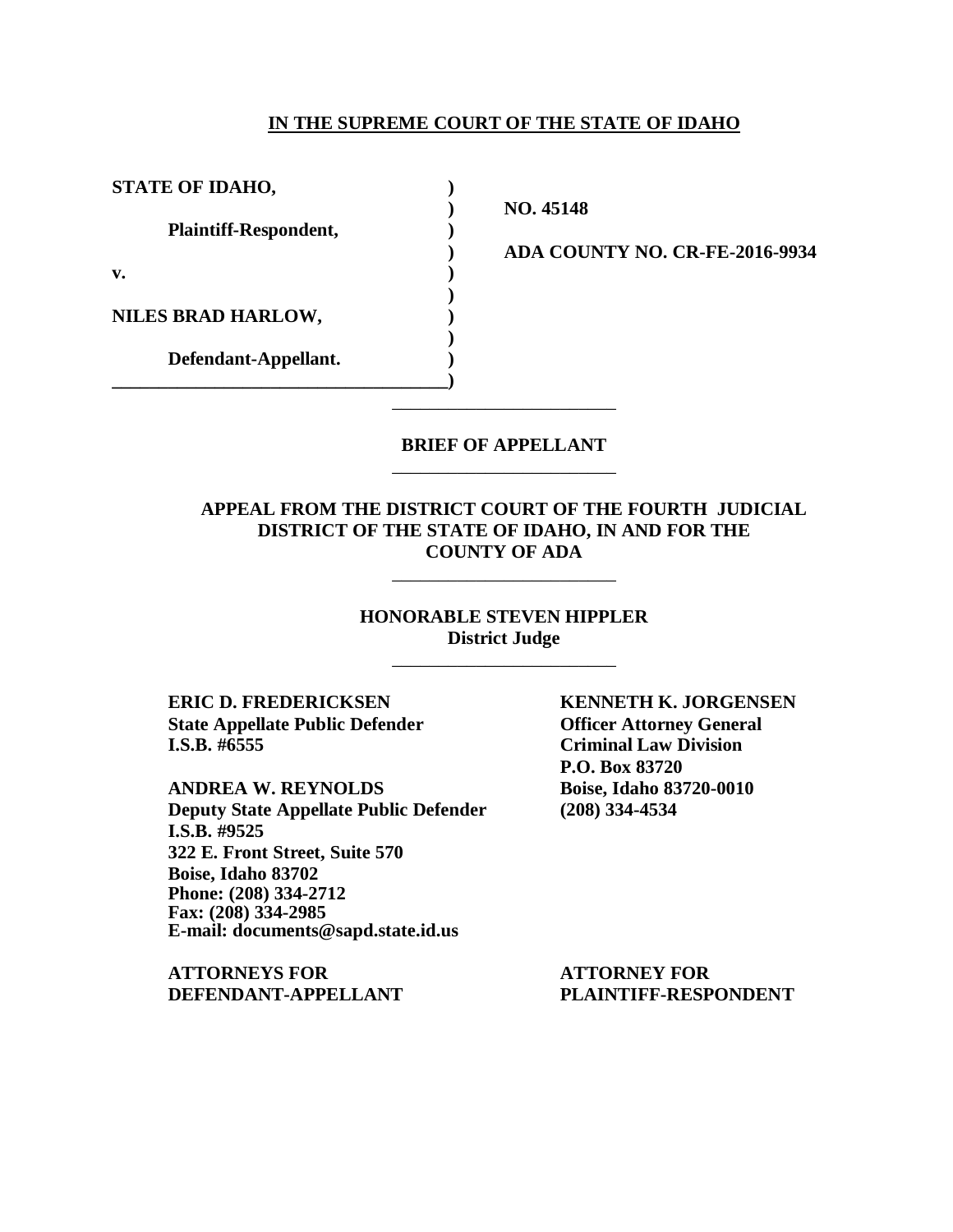#### **IN THE SUPREME COURT OF THE STATE OF IDAHO**

**STATE OF IDAHO, ) Plaintiff-Respondent, ) v. ) NILES BRAD HARLOW, ) Defendant-Appellant. ) \_\_\_\_\_\_\_\_\_\_\_\_\_\_\_\_\_\_\_\_\_\_\_\_\_\_\_\_\_\_\_\_\_\_\_\_)**

**) NO. 45148**

**) ADA COUNTY NO. CR-FE-2016-9934**

### **BRIEF OF APPELLANT** \_\_\_\_\_\_\_\_\_\_\_\_\_\_\_\_\_\_\_\_\_\_\_\_

\_\_\_\_\_\_\_\_\_\_\_\_\_\_\_\_\_\_\_\_\_\_\_\_

**)**

**)**

### **APPEAL FROM THE DISTRICT COURT OF THE FOURTH JUDICIAL DISTRICT OF THE STATE OF IDAHO, IN AND FOR THE COUNTY OF ADA**

\_\_\_\_\_\_\_\_\_\_\_\_\_\_\_\_\_\_\_\_\_\_\_\_

### **HONORABLE STEVEN HIPPLER District Judge** \_\_\_\_\_\_\_\_\_\_\_\_\_\_\_\_\_\_\_\_\_\_\_\_

**ERIC D. FREDERICKSEN KENNETH K. JORGENSEN State Appellate Public Defender Officer Attorney General I.S.B. #6555 Criminal Law Division**

**ANDREA W. REYNOLDS Boise, Idaho 83720-0010 Deputy State Appellate Public Defender (208) 334-4534 I.S.B. #9525 322 E. Front Street, Suite 570 Boise, Idaho 83702 Phone: (208) 334-2712 Fax: (208) 334-2985 E-mail: documents@sapd.state.id.us**

**ATTORNEYS FOR ATTORNEY FOR DEFENDANT-APPELLANT PLAINTIFF-RESPONDENT**

**P.O. Box 83720**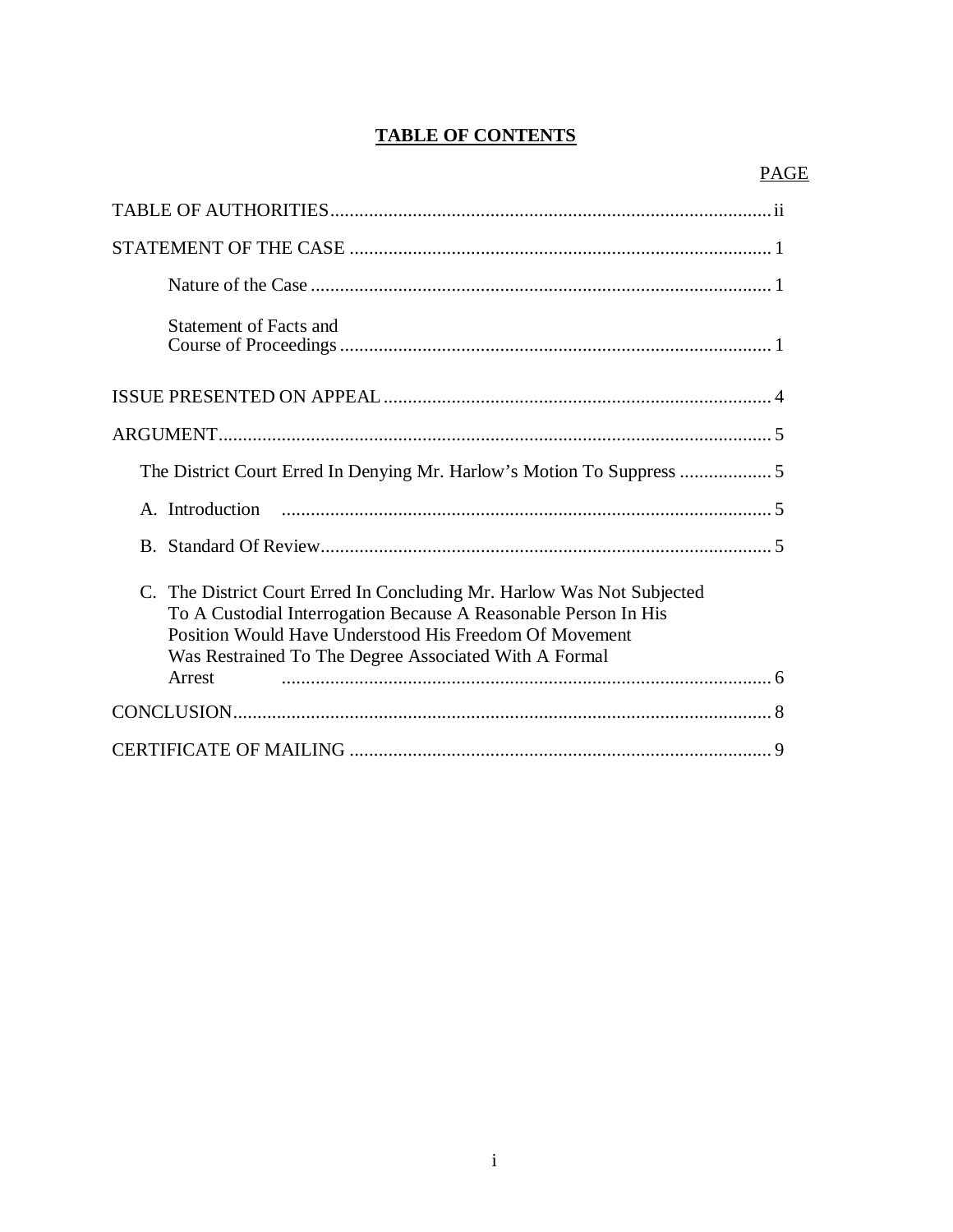## **TABLE OF CONTENTS**

| Statement of Facts and                                                                                                                                                                                                                                                 |
|------------------------------------------------------------------------------------------------------------------------------------------------------------------------------------------------------------------------------------------------------------------------|
|                                                                                                                                                                                                                                                                        |
|                                                                                                                                                                                                                                                                        |
|                                                                                                                                                                                                                                                                        |
|                                                                                                                                                                                                                                                                        |
|                                                                                                                                                                                                                                                                        |
| C. The District Court Erred In Concluding Mr. Harlow Was Not Subjected<br>To A Custodial Interrogation Because A Reasonable Person In His<br>Position Would Have Understood His Freedom Of Movement<br>Was Restrained To The Degree Associated With A Formal<br>Arrest |
|                                                                                                                                                                                                                                                                        |
|                                                                                                                                                                                                                                                                        |
|                                                                                                                                                                                                                                                                        |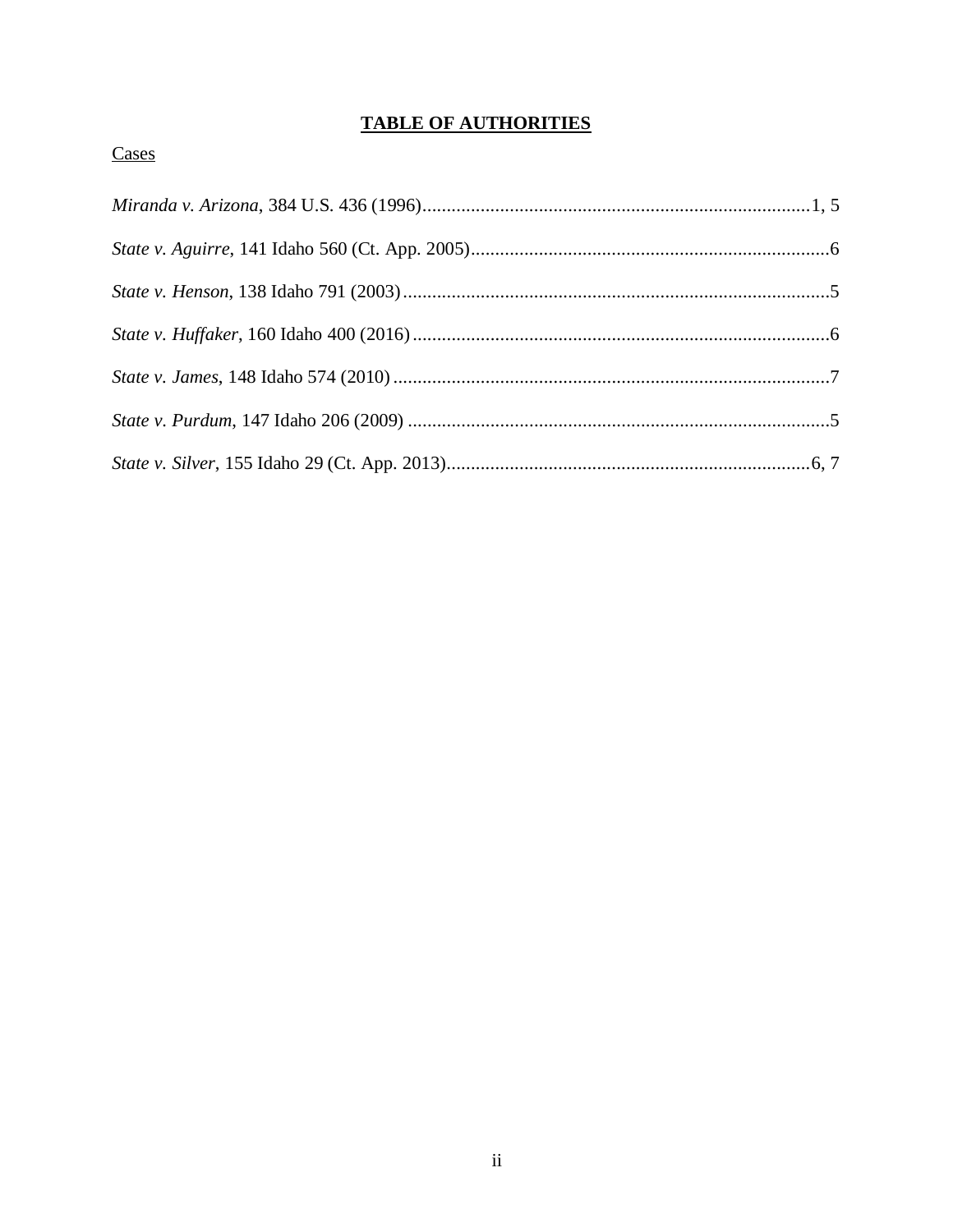# **TABLE OF AUTHORITIES**

# Cases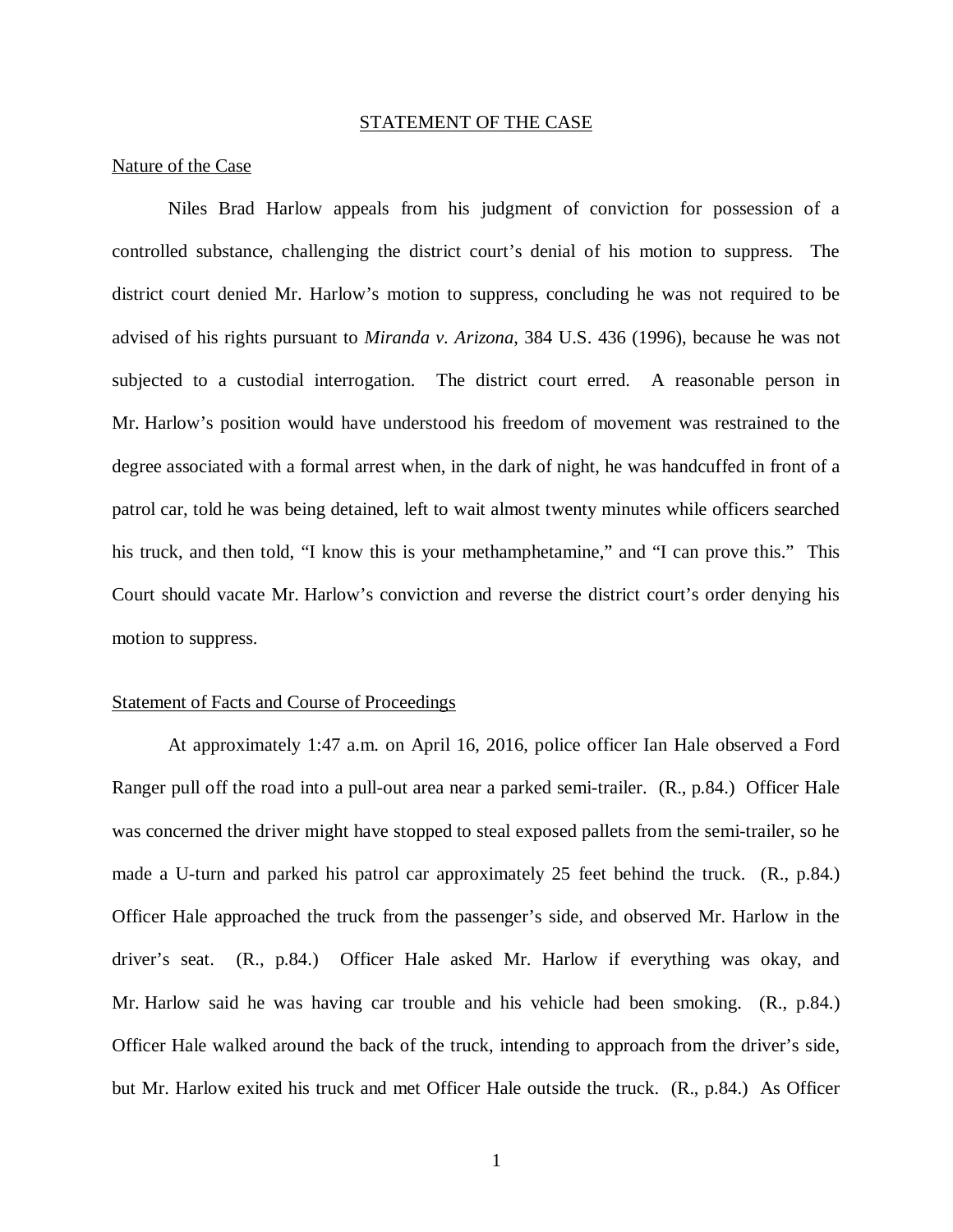#### STATEMENT OF THE CASE

#### Nature of the Case

Niles Brad Harlow appeals from his judgment of conviction for possession of a controlled substance, challenging the district court's denial of his motion to suppress. The district court denied Mr. Harlow's motion to suppress, concluding he was not required to be advised of his rights pursuant to *Miranda v. Arizona*, 384 U.S. 436 (1996), because he was not subjected to a custodial interrogation. The district court erred. A reasonable person in Mr. Harlow's position would have understood his freedom of movement was restrained to the degree associated with a formal arrest when, in the dark of night, he was handcuffed in front of a patrol car, told he was being detained, left to wait almost twenty minutes while officers searched his truck, and then told, "I know this is your methamphetamine," and "I can prove this." This Court should vacate Mr. Harlow's conviction and reverse the district court's order denying his motion to suppress.

### Statement of Facts and Course of Proceedings

At approximately 1:47 a.m. on April 16, 2016, police officer Ian Hale observed a Ford Ranger pull off the road into a pull-out area near a parked semi-trailer. (R., p.84.) Officer Hale was concerned the driver might have stopped to steal exposed pallets from the semi-trailer, so he made a U-turn and parked his patrol car approximately 25 feet behind the truck. (R., p.84.) Officer Hale approached the truck from the passenger's side, and observed Mr. Harlow in the driver's seat. (R., p.84.) Officer Hale asked Mr. Harlow if everything was okay, and Mr. Harlow said he was having car trouble and his vehicle had been smoking. (R., p.84.) Officer Hale walked around the back of the truck, intending to approach from the driver's side, but Mr. Harlow exited his truck and met Officer Hale outside the truck. (R., p.84.) As Officer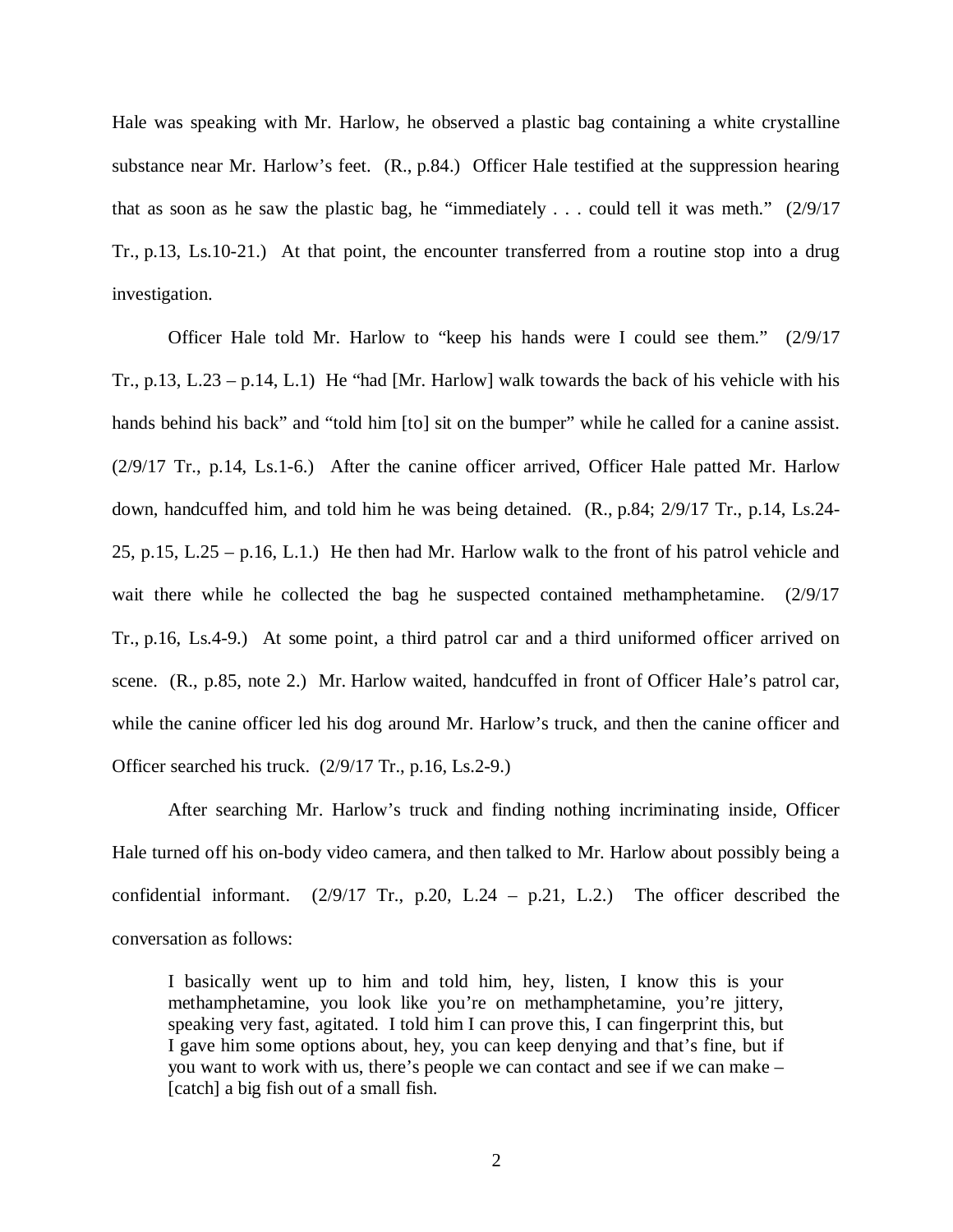Hale was speaking with Mr. Harlow, he observed a plastic bag containing a white crystalline substance near Mr. Harlow's feet. (R., p.84.) Officer Hale testified at the suppression hearing that as soon as he saw the plastic bag, he "immediately ... could tell it was meth."  $(2/9/17)$ Tr., p.13, Ls.10-21.) At that point, the encounter transferred from a routine stop into a drug investigation.

Officer Hale told Mr. Harlow to "keep his hands were I could see them." (2/9/17 Tr., p.13, L.23 – p.14, L.1) He "had [Mr. Harlow] walk towards the back of his vehicle with his hands behind his back" and "told him [to] sit on the bumper" while he called for a canine assist. (2/9/17 Tr., p.14, Ls.1-6.) After the canine officer arrived, Officer Hale patted Mr. Harlow down, handcuffed him, and told him he was being detained. (R., p.84; 2/9/17 Tr., p.14, Ls.24- 25, p.15, L.25 – p.16, L.1.) He then had Mr. Harlow walk to the front of his patrol vehicle and wait there while he collected the bag he suspected contained methamphetamine. (2/9/17 Tr., p.16, Ls.4-9.) At some point, a third patrol car and a third uniformed officer arrived on scene. (R., p.85, note 2.) Mr. Harlow waited, handcuffed in front of Officer Hale's patrol car, while the canine officer led his dog around Mr. Harlow's truck, and then the canine officer and Officer searched his truck. (2/9/17 Tr., p.16, Ls.2-9.)

After searching Mr. Harlow's truck and finding nothing incriminating inside, Officer Hale turned off his on-body video camera, and then talked to Mr. Harlow about possibly being a confidential informant.  $(2/9/17 \text{ Tr.}, \text{ p.20}, \text{ L.24 - p.21}, \text{ L.2.})$  The officer described the conversation as follows:

I basically went up to him and told him, hey, listen, I know this is your methamphetamine, you look like you're on methamphetamine, you're jittery, speaking very fast, agitated. I told him I can prove this, I can fingerprint this, but I gave him some options about, hey, you can keep denying and that's fine, but if you want to work with us, there's people we can contact and see if we can make – [catch] a big fish out of a small fish.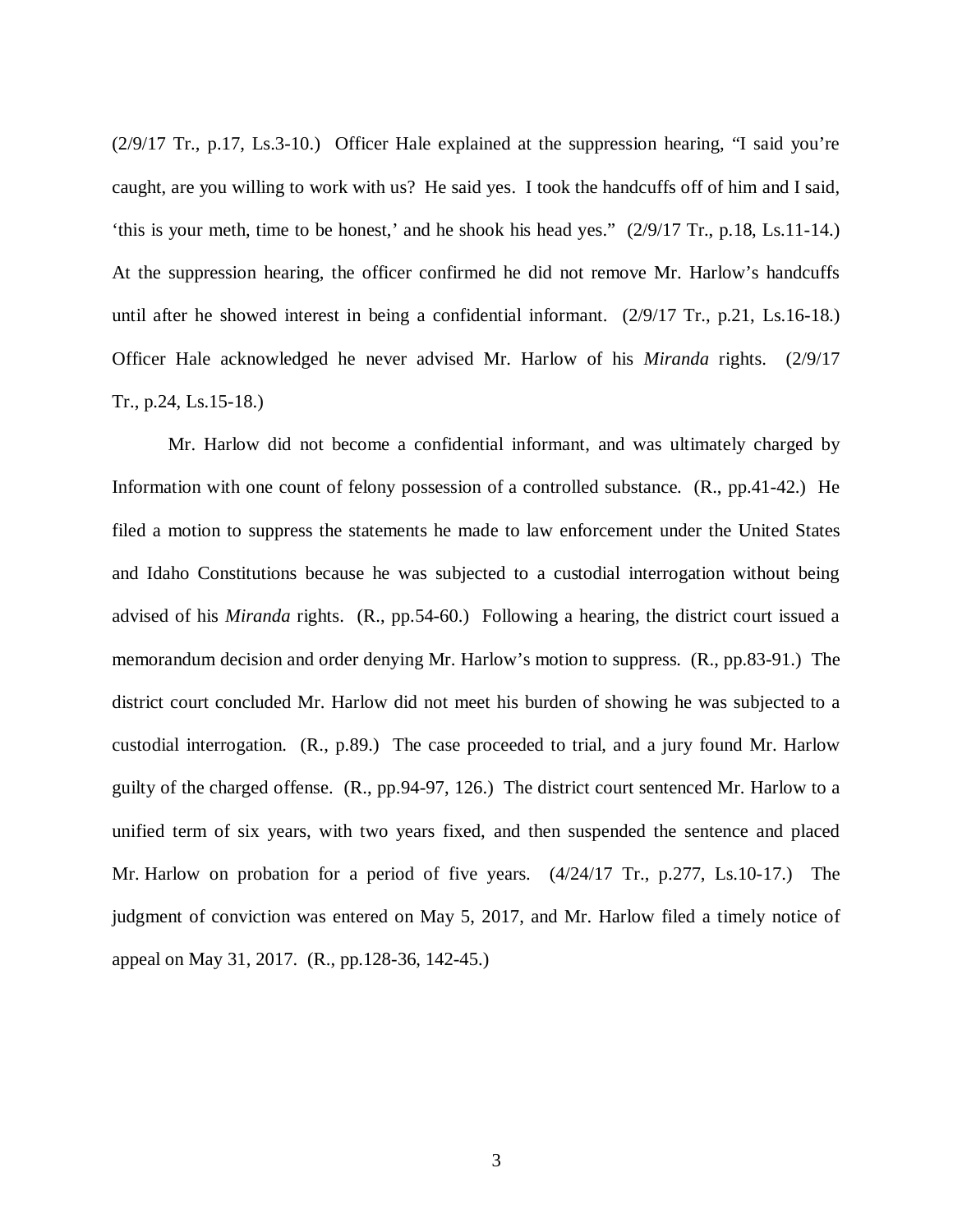(2/9/17 Tr., p.17, Ls.3-10.) Officer Hale explained at the suppression hearing, "I said you're caught, are you willing to work with us? He said yes. I took the handcuffs off of him and I said, 'this is your meth, time to be honest,' and he shook his head yes." (2/9/17 Tr., p.18, Ls.11-14.) At the suppression hearing, the officer confirmed he did not remove Mr. Harlow's handcuffs until after he showed interest in being a confidential informant. (2/9/17 Tr., p.21, Ls.16-18.) Officer Hale acknowledged he never advised Mr. Harlow of his *Miranda* rights. (2/9/17 Tr., p.24, Ls.15-18.)

Mr. Harlow did not become a confidential informant, and was ultimately charged by Information with one count of felony possession of a controlled substance. (R., pp.41-42.) He filed a motion to suppress the statements he made to law enforcement under the United States and Idaho Constitutions because he was subjected to a custodial interrogation without being advised of his *Miranda* rights. (R., pp.54-60.) Following a hearing, the district court issued a memorandum decision and order denying Mr. Harlow's motion to suppress. (R., pp.83-91.) The district court concluded Mr. Harlow did not meet his burden of showing he was subjected to a custodial interrogation. (R., p.89.) The case proceeded to trial, and a jury found Mr. Harlow guilty of the charged offense. (R., pp.94-97, 126.) The district court sentenced Mr. Harlow to a unified term of six years, with two years fixed, and then suspended the sentence and placed Mr. Harlow on probation for a period of five years. (4/24/17 Tr., p.277, Ls.10-17.) The judgment of conviction was entered on May 5, 2017, and Mr. Harlow filed a timely notice of appeal on May 31, 2017. (R., pp.128-36, 142-45.)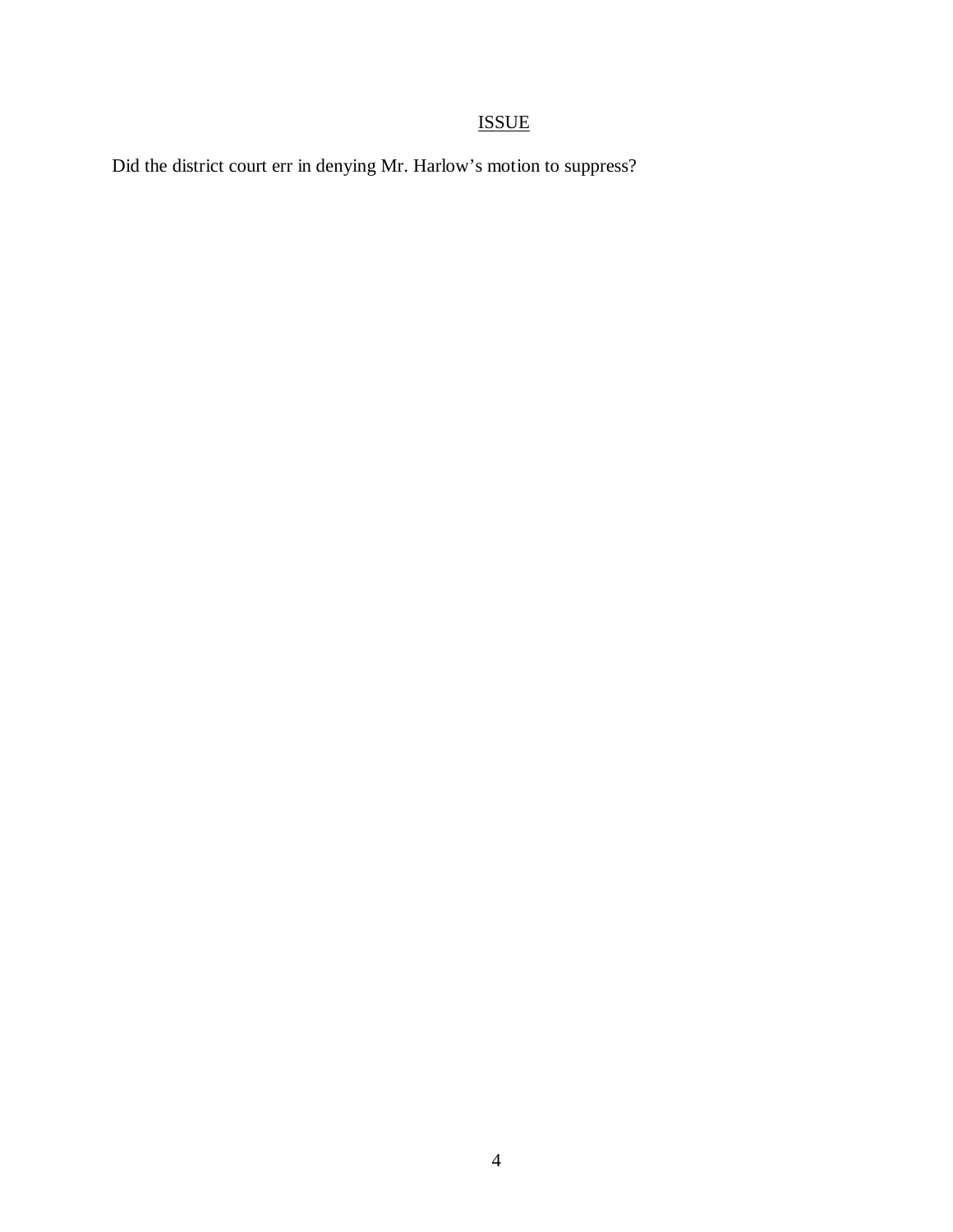# ISSUE

Did the district court err in denying Mr. Harlow's motion to suppress?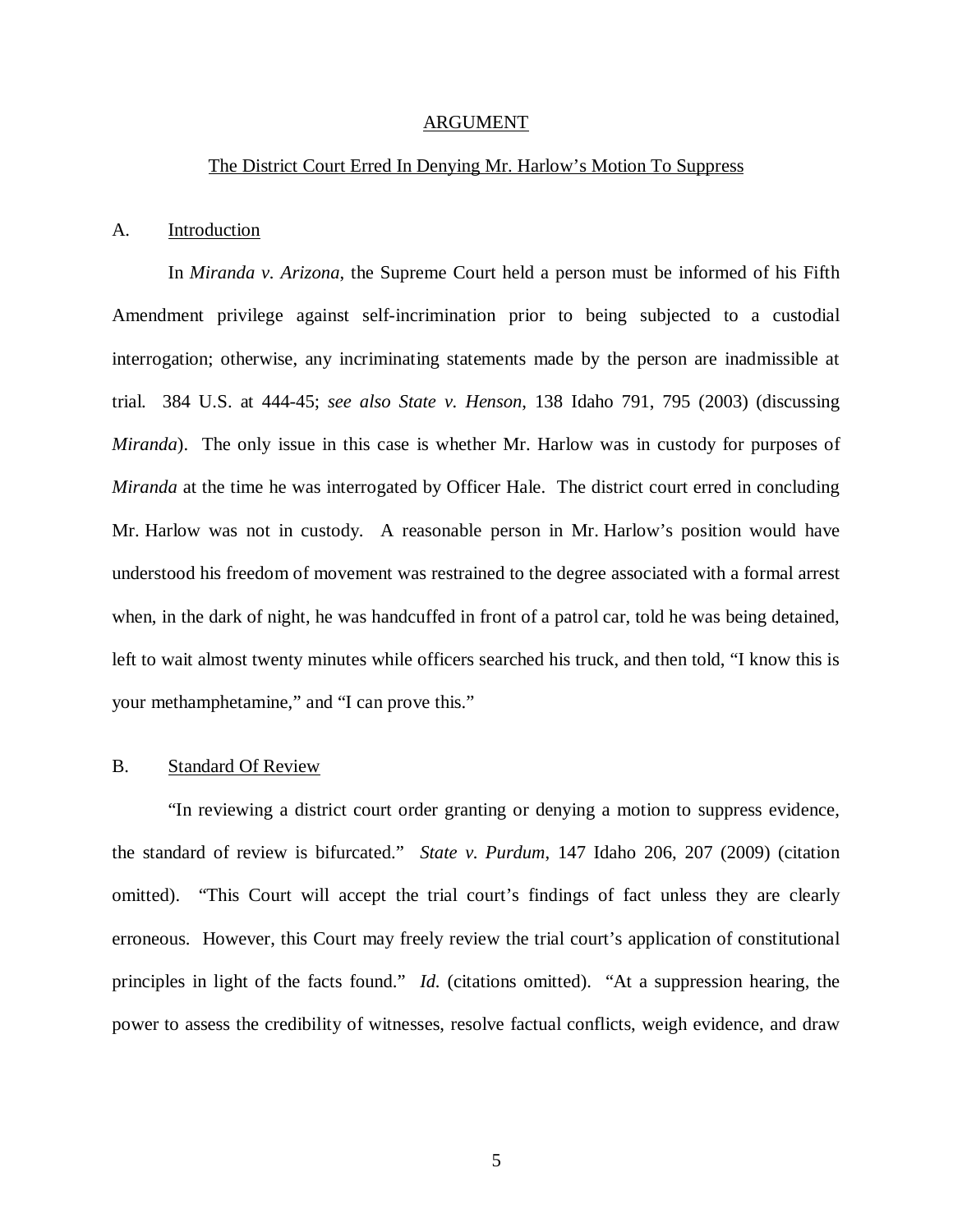#### ARGUMENT

#### The District Court Erred In Denying Mr. Harlow's Motion To Suppress

#### A. Introduction

In *Miranda v. Arizona*, the Supreme Court held a person must be informed of his Fifth Amendment privilege against self-incrimination prior to being subjected to a custodial interrogation; otherwise, any incriminating statements made by the person are inadmissible at trial. 384 U.S. at 444-45; *see also State v. Henson*, 138 Idaho 791, 795 (2003) (discussing *Miranda*). The only issue in this case is whether Mr. Harlow was in custody for purposes of *Miranda* at the time he was interrogated by Officer Hale. The district court erred in concluding Mr. Harlow was not in custody. A reasonable person in Mr. Harlow's position would have understood his freedom of movement was restrained to the degree associated with a formal arrest when, in the dark of night, he was handcuffed in front of a patrol car, told he was being detained, left to wait almost twenty minutes while officers searched his truck, and then told, "I know this is your methamphetamine," and "I can prove this."

#### B. Standard Of Review

"In reviewing a district court order granting or denying a motion to suppress evidence, the standard of review is bifurcated." *State v. Purdum*, 147 Idaho 206, 207 (2009) (citation omitted). "This Court will accept the trial court's findings of fact unless they are clearly erroneous. However, this Court may freely review the trial court's application of constitutional principles in light of the facts found." *Id.* (citations omitted). "At a suppression hearing, the power to assess the credibility of witnesses, resolve factual conflicts, weigh evidence, and draw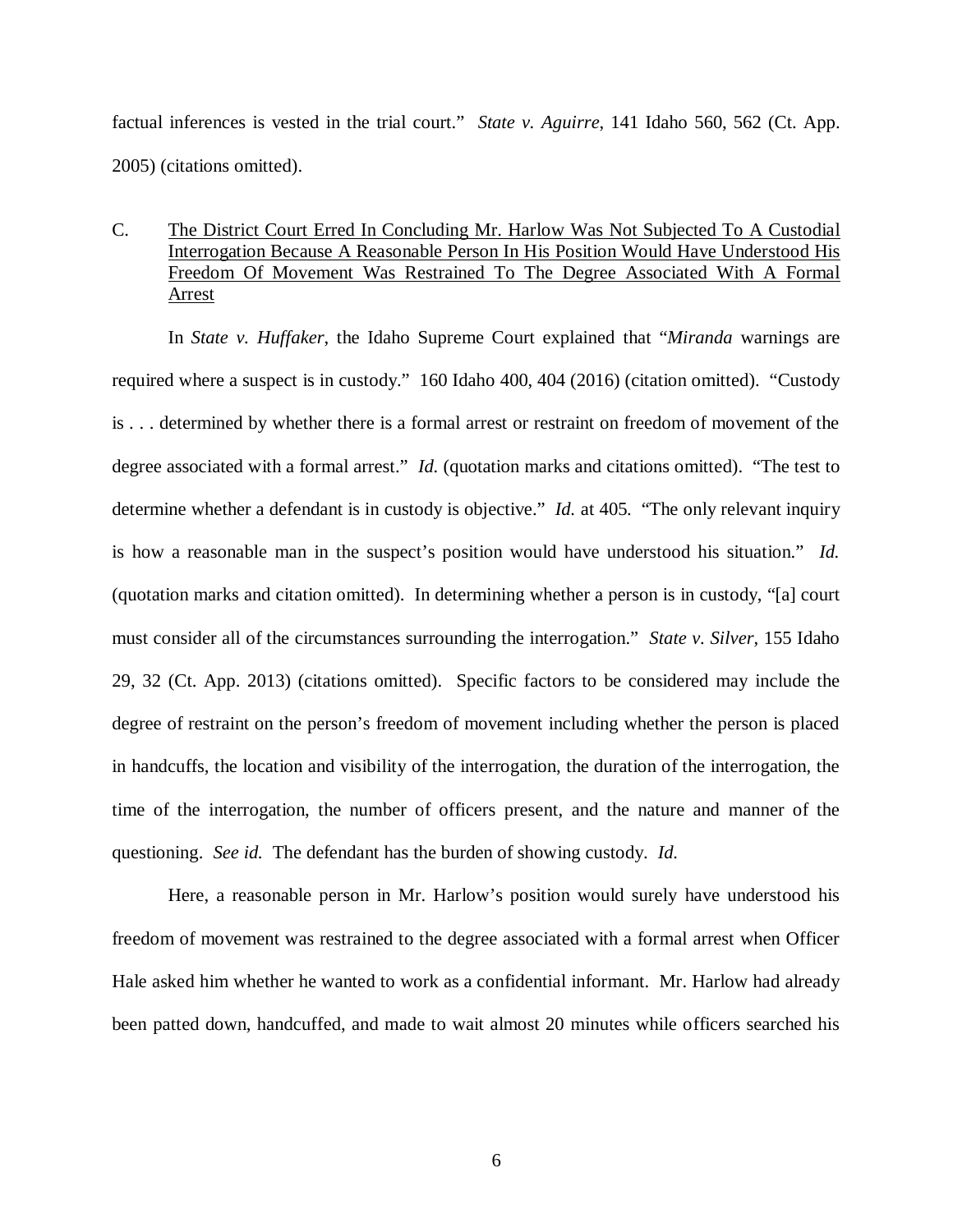factual inferences is vested in the trial court." *State v. Aguirre*, 141 Idaho 560, 562 (Ct. App. 2005) (citations omitted).

## C. The District Court Erred In Concluding Mr. Harlow Was Not Subjected To A Custodial Interrogation Because A Reasonable Person In His Position Would Have Understood His Freedom Of Movement Was Restrained To The Degree Associated With A Formal Arrest

In *State v. Huffaker*, the Idaho Supreme Court explained that "*Miranda* warnings are required where a suspect is in custody." 160 Idaho 400, 404 (2016) (citation omitted). "Custody is . . . determined by whether there is a formal arrest or restraint on freedom of movement of the degree associated with a formal arrest." *Id.* (quotation marks and citations omitted). "The test to determine whether a defendant is in custody is objective." *Id.* at 405. "The only relevant inquiry is how a reasonable man in the suspect's position would have understood his situation." *Id.* (quotation marks and citation omitted). In determining whether a person is in custody, "[a] court must consider all of the circumstances surrounding the interrogation." *State v. Silver*, 155 Idaho 29, 32 (Ct. App. 2013) (citations omitted). Specific factors to be considered may include the degree of restraint on the person's freedom of movement including whether the person is placed in handcuffs, the location and visibility of the interrogation, the duration of the interrogation, the time of the interrogation, the number of officers present, and the nature and manner of the questioning. *See id.* The defendant has the burden of showing custody. *Id.*

Here, a reasonable person in Mr. Harlow's position would surely have understood his freedom of movement was restrained to the degree associated with a formal arrest when Officer Hale asked him whether he wanted to work as a confidential informant. Mr. Harlow had already been patted down, handcuffed, and made to wait almost 20 minutes while officers searched his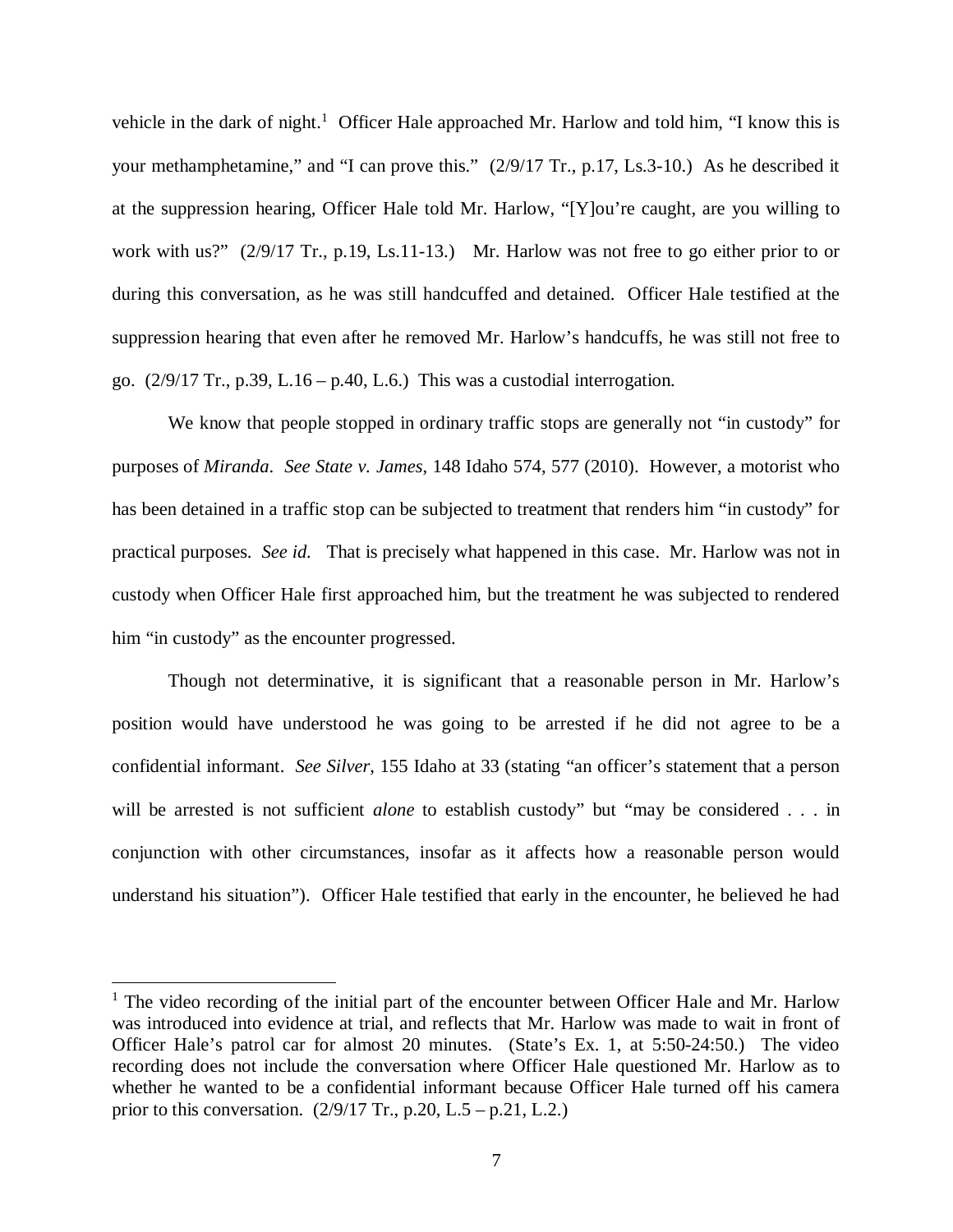vehicle in the dark of night.<sup>[1](#page-10-0)</sup> Officer Hale approached Mr. Harlow and told him, "I know this is your methamphetamine," and "I can prove this." (2/9/17 Tr., p.17, Ls.3-10.) As he described it at the suppression hearing, Officer Hale told Mr. Harlow, "[Y]ou're caught, are you willing to work with us?" (2/9/17 Tr., p.19, Ls.11-13.) Mr. Harlow was not free to go either prior to or during this conversation, as he was still handcuffed and detained. Officer Hale testified at the suppression hearing that even after he removed Mr. Harlow's handcuffs, he was still not free to go. (2/9/17 Tr., p.39, L.16 – p.40, L.6.) This was a custodial interrogation.

We know that people stopped in ordinary traffic stops are generally not "in custody" for purposes of *Miranda*. *See State v. James*, 148 Idaho 574, 577 (2010). However, a motorist who has been detained in a traffic stop can be subjected to treatment that renders him "in custody" for practical purposes. *See id.* That is precisely what happened in this case. Mr. Harlow was not in custody when Officer Hale first approached him, but the treatment he was subjected to rendered him "in custody" as the encounter progressed.

Though not determinative, it is significant that a reasonable person in Mr. Harlow's position would have understood he was going to be arrested if he did not agree to be a confidential informant. *See Silver*, 155 Idaho at 33 (stating "an officer's statement that a person will be arrested is not sufficient *alone* to establish custody" but "may be considered . . . in conjunction with other circumstances, insofar as it affects how a reasonable person would understand his situation"). Officer Hale testified that early in the encounter, he believed he had

<span id="page-10-0"></span><sup>&</sup>lt;sup>1</sup> The video recording of the initial part of the encounter between Officer Hale and Mr. Harlow was introduced into evidence at trial, and reflects that Mr. Harlow was made to wait in front of Officer Hale's patrol car for almost 20 minutes. (State's Ex. 1, at 5:50-24:50.) The video recording does not include the conversation where Officer Hale questioned Mr. Harlow as to whether he wanted to be a confidential informant because Officer Hale turned off his camera prior to this conversation.  $(2/9/17 \text{ Tr.}, p.20, L.5 - p.21, L.2.)$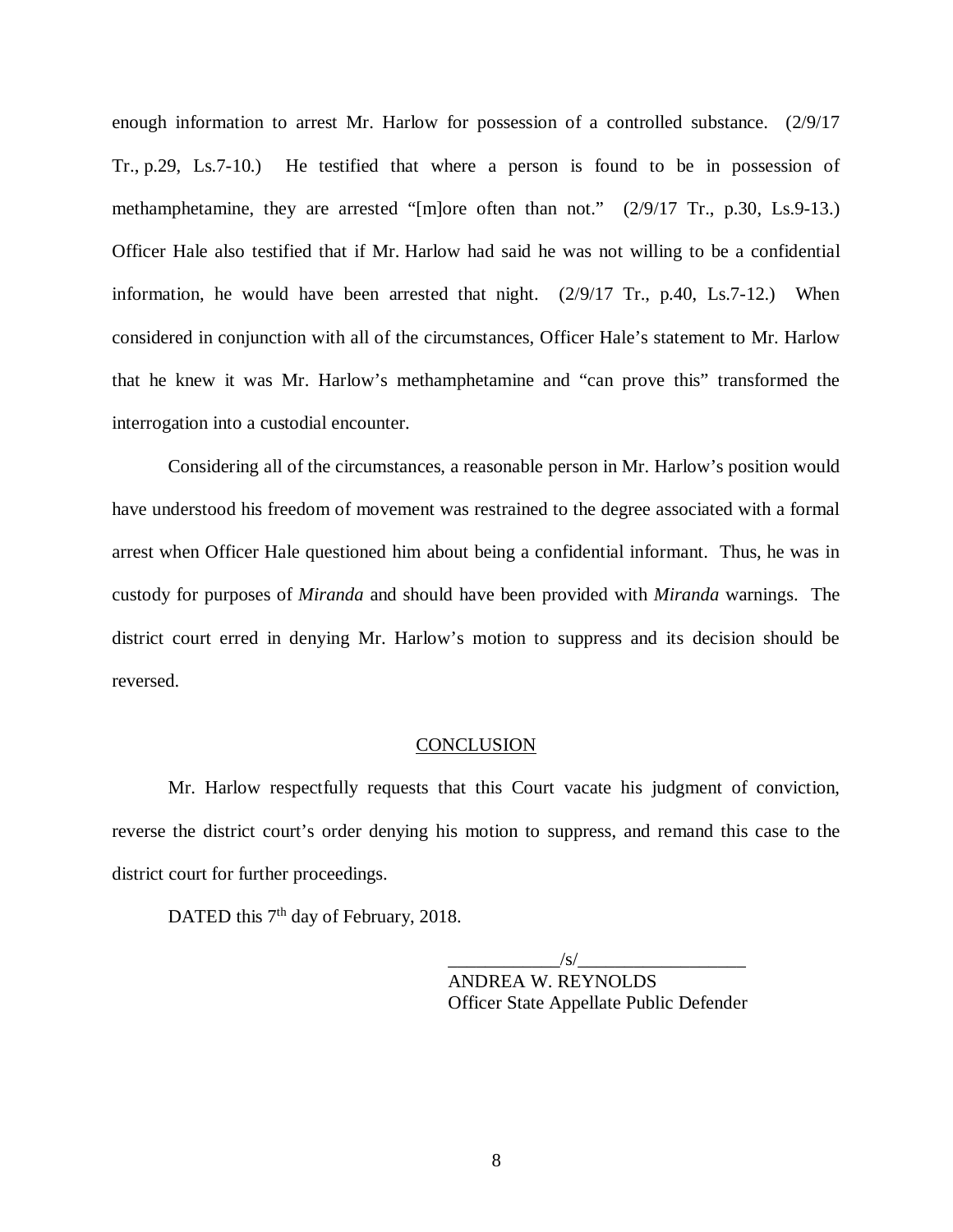enough information to arrest Mr. Harlow for possession of a controlled substance. (2/9/17 Tr., p.29, Ls.7-10.) He testified that where a person is found to be in possession of methamphetamine, they are arrested "[m]ore often than not." (2/9/17 Tr., p.30, Ls.9-13.) Officer Hale also testified that if Mr. Harlow had said he was not willing to be a confidential information, he would have been arrested that night. (2/9/17 Tr., p.40, Ls.7-12.) When considered in conjunction with all of the circumstances, Officer Hale's statement to Mr. Harlow that he knew it was Mr. Harlow's methamphetamine and "can prove this" transformed the interrogation into a custodial encounter.

Considering all of the circumstances, a reasonable person in Mr. Harlow's position would have understood his freedom of movement was restrained to the degree associated with a formal arrest when Officer Hale questioned him about being a confidential informant. Thus, he was in custody for purposes of *Miranda* and should have been provided with *Miranda* warnings. The district court erred in denying Mr. Harlow's motion to suppress and its decision should be reversed.

#### **CONCLUSION**

Mr. Harlow respectfully requests that this Court vacate his judgment of conviction, reverse the district court's order denying his motion to suppress, and remand this case to the district court for further proceedings.

DATED this 7<sup>th</sup> day of February, 2018.

 $\frac{1}{s}$ ANDREA W. REYNOLDS Officer State Appellate Public Defender